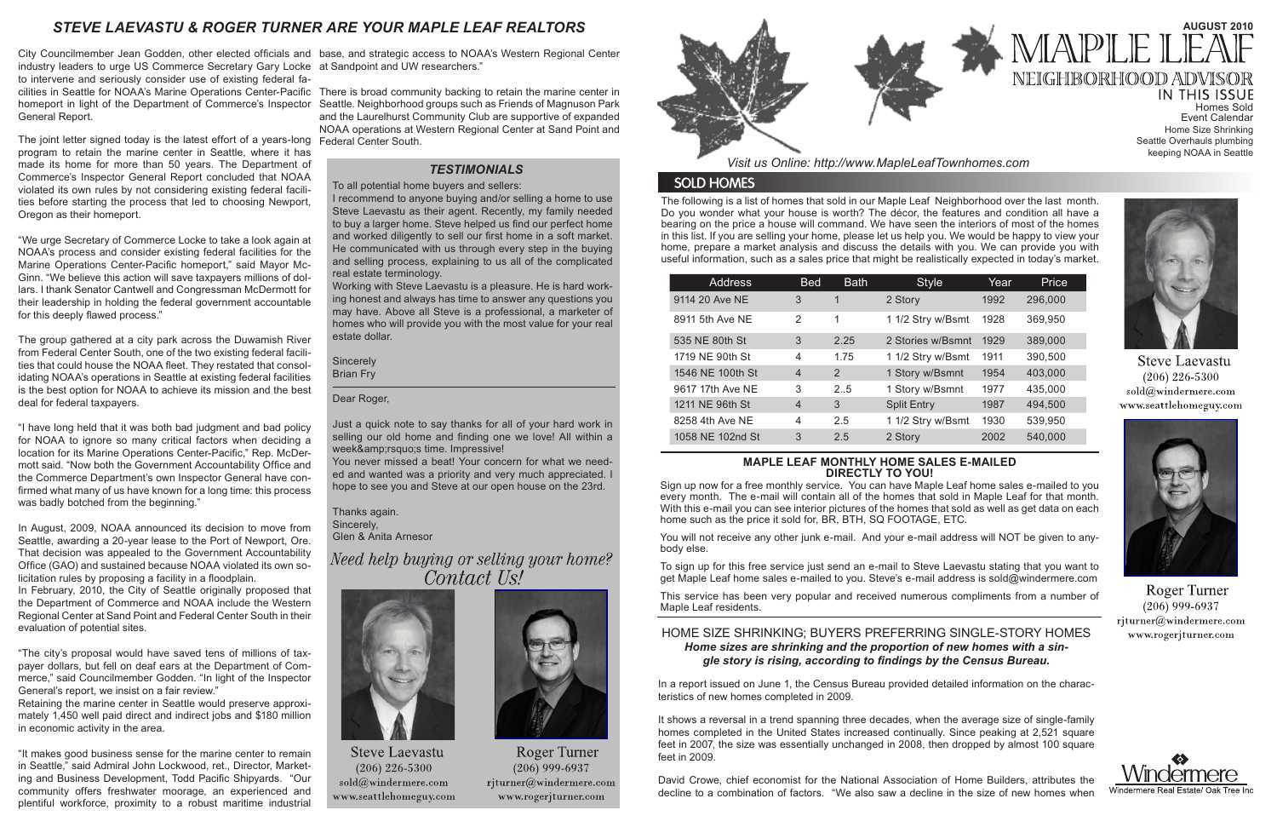The following is a list of homes that sold in our Maple Leaf Neighborhood over the last month. Do you wonder what your house is worth? The décor, the features and condition all have a bearing on the price a house will command. We have seen the interiors of most of the homes in this list. If you are selling your home, please let us help you. We would be happy to view your home, prepare a market analysis and discuss the details with you. We can provide you with useful information, such as a sales price that might be realistically expected in today's market.

*Visit us Online: http://www.MapleLeafTownhomes.com*

# **SOLD HOMES**

# *STEVE LAEVASTU & ROGER TURNER ARE YOUR MAPLE LEAF REALTORS*

### **MAPLE LEAF MONTHLY HOME SALES E-MAILED DIRECTLY TO YOU!**

Sign up now for a free monthly service. You can have Maple Leaf home sales e-mailed to you every month. The e-mail will contain all of the homes that sold in Maple Leaf for that month. With this e-mail you can see interior pictures of the homes that sold as well as get data on each home such as the price it sold for, BR, BTH, SQ FOOTAGE, ETC.

IN THIS ISSUE Homes Sold Event Calendar Home Size Shrinking Seattle Overhauls plumbing keeping NOAA in Seattle



**Steve Laevastu**  $(206)$  226-5300 sold@windermere.com www.seattlehomeguy.com



Roger Turner  $(206)$  999-6937 rjturner@windermere.com www.rogerjturner.com



You will not receive any other junk e-mail. And your e-mail address will NOT be given to anybody else.

To sign up for this free service just send an e-mail to Steve Laevastu stating that you want to get Maple Leaf home sales e-mailed to you. Steve's e-mail address is sold@windermere.com

This service has been very popular and received numerous compliments from a number of Maple Leaf residents.

# *TESTIMONIALS*

| <b>Address</b>   | <b>Bed</b>     | <b>Bath</b> | <b>Style</b>       | Year | Price   |
|------------------|----------------|-------------|--------------------|------|---------|
| 9114 20 Ave NE   | 3              | 1           | 2 Story            | 1992 | 296,000 |
| 8911 5th Ave NE  | 2              | 1           | 1 1/2 Stry w/Bsmt  | 1928 | 369,950 |
| 535 NE 80th St   | 3              | 2.25        | 2 Stories w/Bsmnt  | 1929 | 389,000 |
| 1719 NE 90th St  | 4              | 1.75        | 1 1/2 Stry w/Bsmt  | 1911 | 390,500 |
| 1546 NE 100th St | $\overline{4}$ | 2           | 1 Story w/Bsmnt    | 1954 | 403,000 |
| 9617 17th Ave NE | 3              | 2.5         | 1 Story w/Bsmnt    | 1977 | 435,000 |
| 1211 NE 96th St  | $\overline{4}$ | 3           | <b>Split Entry</b> | 1987 | 494,500 |
| 8258 4th Ave NE  | $\overline{4}$ | 2.5         | 1 1/2 Stry w/Bsmt  | 1930 | 539,950 |
| 1058 NE 102nd St | 3              | 2.5         | 2 Story            | 2002 | 540,000 |

# HOME SIZE SHRINKING; BUYERS PREFERRING SINGLE-STORY HOMES *Home sizes are shrinking and the proportion of new homes with a single story is rising, according to findings by the Census Bureau.*

In a report issued on June 1, the Census Bureau provided detailed information on the characteristics of new homes completed in 2009.

It shows a reversal in a trend spanning three decades, when the average size of single-family homes completed in the United States increased continually. Since peaking at 2,521 square feet in 2007, the size was essentially unchanged in 2008, then dropped by almost 100 square feet in 2009.

David Crowe, chief economist for the National Association of Home Builders, attributes the decline to a combination of factors. "We also saw a decline in the size of new homes when



# **AUGUST 2010** MAPLE 1 NEIGHBORHOOD ADV

City Councilmember Jean Godden, other elected officials and base, and strategic access to NOAA's Western Regional Center industry leaders to urge US Commerce Secretary Gary Locke at Sandpoint and UW researchers." to intervene and seriously consider use of existing federal facilities in Seattle for NOAA's Marine Operations Center-Pacific There is broad community backing to retain the marine center in homeport in light of the Department of Commerce's Inspector Seattle. Neighborhood groups such as Friends of Magnuson Park General Report.

The joint letter signed today is the latest effort of a years-long Federal Center South. program to retain the marine center in Seattle, where it has made its home for more than 50 years. The Department of Commerce's Inspector General Report concluded that NOAA violated its own rules by not considering existing federal facilities before starting the process that led to choosing Newport, Oregon as their homeport.

> **Sincerely** Brian Fry

Just a quick note to say thanks for all of your hard work in selling our old home and finding one we love! All within a week's time. Impressive!

"We urge Secretary of Commerce Locke to take a look again at NOAA's process and consider existing federal facilities for the Marine Operations Center-Pacific homeport," said Mayor Mc-Ginn. "We believe this action will save taxpayers millions of dollars. I thank Senator Cantwell and Congressman McDermott for their leadership in holding the federal government accountable for this deeply flawed process."

The group gathered at a city park across the Duwamish River from Federal Center South, one of the two existing federal facilities that could house the NOAA fleet. They restated that consolidating NOAA's operations in Seattle at existing federal facilities is the best option for NOAA to achieve its mission and the best deal for federal taxpayers.

"I have long held that it was both bad judgment and bad policy for NOAA to ignore so many critical factors when deciding a location for its Marine Operations Center-Pacific," Rep. McDermott said. "Now both the Government Accountability Office and the Commerce Department's own Inspector General have confirmed what many of us have known for a long time: this process was badly botched from the beginning."

In August, 2009, NOAA announced its decision to move from Seattle, awarding a 20-year lease to the Port of Newport, Ore. That decision was appealed to the Government Accountability Office (GAO) and sustained because NOAA violated its own solicitation rules by proposing a facility in a floodplain.

In February, 2010, the City of Seattle originally proposed that the Department of Commerce and NOAA include the Western Regional Center at Sand Point and Federal Center South in their evaluation of potential sites.

"The city's proposal would have saved tens of millions of taxpayer dollars, but fell on deaf ears at the Department of Commerce," said Councilmember Godden. "In light of the Inspector General's report, we insist on a fair review."

Retaining the marine center in Seattle would preserve approximately 1,450 well paid direct and indirect jobs and \$180 million in economic activity in the area.

"It makes good business sense for the marine center to remain in Seattle," said Admiral John Lockwood, ret., Director, Marketing and Business Development, Todd Pacific Shipyards. "Our community offers freshwater moorage, an experienced and plentiful workforce, proximity to a robust maritime industrial

and the Laurelhurst Community Club are supportive of expanded NOAA operations at Western Regional Center at Sand Point and

To all potential home buyers and sellers:

I recommend to anyone buying and/or selling a home to use Steve Laevastu as their agent. Recently, my family needed to buy a larger home. Steve helped us find our perfect home and worked diligently to sell our first home in a soft market. He communicated with us through every step in the buying and selling process, explaining to us all of the complicated real estate terminology.

Working with Steve Laevastu is a pleasure. He is hard working honest and always has time to answer any questions you may have. Above all Steve is a professional, a marketer of homes who will provide you with the most value for your real estate dollar.

Dear Roger,

You never missed a beat! Your concern for what we needed and wanted was a priority and very much appreciated. I hope to see you and Steve at our open house on the 23rd.

Thanks again. Sincerely, Glen & Anita Arnesor

Need help buying or selling your home? Contact Us!



**Steve Laevastu**  $(206)$  226-5300 sold@windermere.com www.seattlehomeguy.com



**Roger Turner**  $(206)$  999-6937 rjturner@windermere.com www.rogerjturner.com